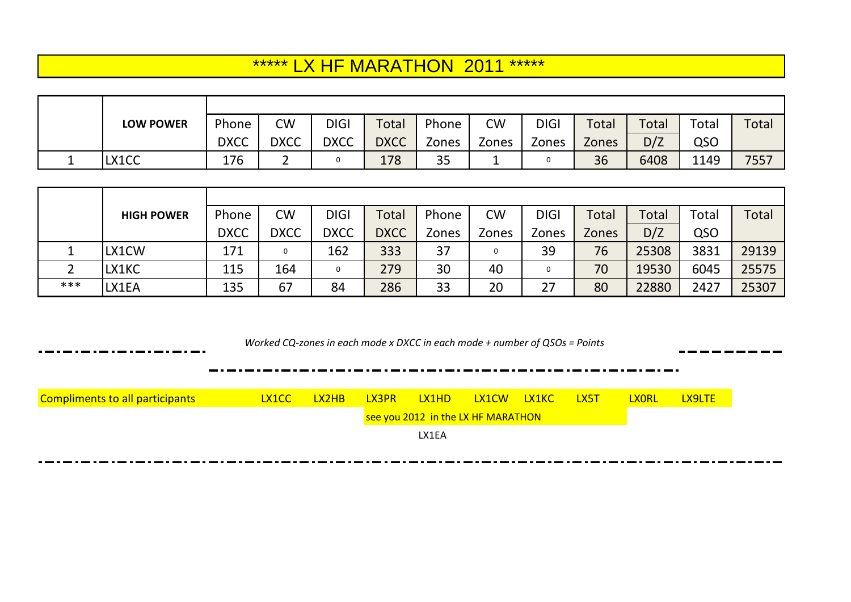## \*\*\*\*\*\* LX HF MARATHON 2011 \*\*\*\*\*\*

|         | <b>LOW POWER</b> | Phone       | <b>CW</b>   | <b>DIGI</b> | <b>Total</b> | Phone | <b>CW</b> | <b>DIGI</b> | Total        | Total | Total | Total |
|---------|------------------|-------------|-------------|-------------|--------------|-------|-----------|-------------|--------------|-------|-------|-------|
|         |                  | <b>DXCC</b> | <b>DXCC</b> | <b>DXCC</b> | <b>DXCC</b>  | Zones | Zones     | Zones       | <b>Zones</b> | D/Z   | QSO   |       |
| <b></b> | LX1CC            | 176         |             |             | 178          | 35    |           |             | 36           | 6408  | 1149  | 7557  |

|     | <b>HIGH POWER</b> | Phone       | <b>CW</b>   | <b>DIGI</b> | <b>Total</b> | Phone | <b>CW</b> | <b>DIGI</b> | Total | <b>Total</b> | Total | Total |
|-----|-------------------|-------------|-------------|-------------|--------------|-------|-----------|-------------|-------|--------------|-------|-------|
|     |                   | <b>DXCC</b> | <b>DXCC</b> | <b>DXCC</b> | <b>DXCC</b>  | Zones | Zones     | Zones       | Zones | D/Z          | QSO   |       |
|     | LX1CW             | 171         |             | 162         | 333          | 37    |           | 39          | 76    | 25308        | 3831  | 29139 |
|     | LX1KC             | 115         | 164         |             | 279          | 30    | 40        |             | 70    | 19530        | 6045  | 25575 |
| *** | LX1EA             | 135         | 67          | 84          | 286          | 33    | 20        | 27          | 80    | 22880        | 2427  | 25307 |

 *Worked CQ-zones in each mode x DXCC in each mode + number of QSOs = Points*

| <b>Compliments to all participants</b> | LX1CC . | LX2HB | LX3PR | LX1HD                              | LX1CW | <b>LX1KC</b> | <u>IX5T</u> | <b>YORL</b> | LX9LTE |
|----------------------------------------|---------|-------|-------|------------------------------------|-------|--------------|-------------|-------------|--------|
|                                        |         |       |       | see you 2012 in the LX HF MARATHON |       |              |             |             |        |
|                                        |         |       |       | LX1EA                              |       |              |             |             |        |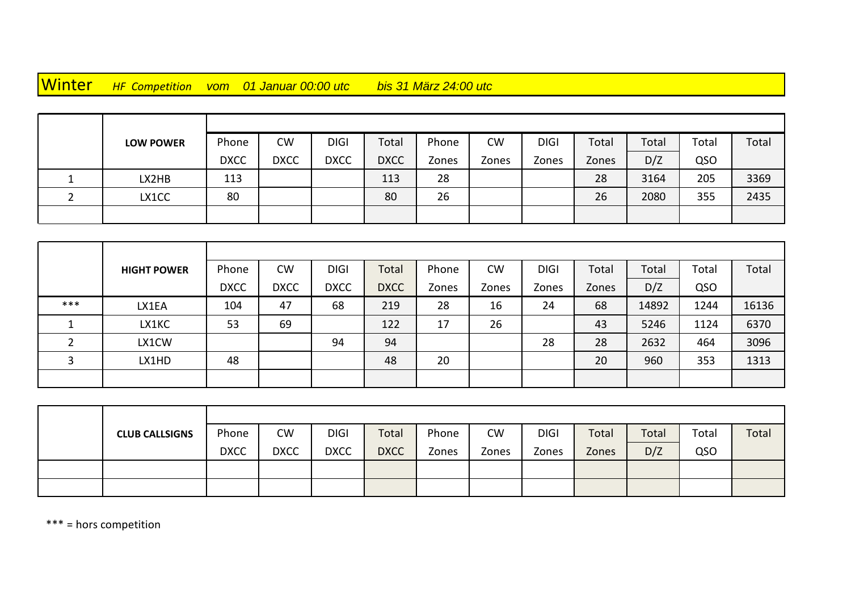Winter *HF Competition vom 01 Januar 00:00 utc bis 31 März 24:00 utc*

| <b>LOW POWER</b> | Phone       | <b>CW</b>   | <b>DIGI</b> | Total       | Phone | <b>CW</b> | <b>DIGI</b> | Total | Total | Total | Total |
|------------------|-------------|-------------|-------------|-------------|-------|-----------|-------------|-------|-------|-------|-------|
|                  | <b>DXCC</b> | <b>DXCC</b> | <b>DXCC</b> | <b>DXCC</b> | Zones | Zones     | Zones       | Zones | D/Z   | QSO   |       |
| LX2HB            | 113         |             |             | 113         | 28    |           |             | 28    | 3164  | 205   | 3369  |
| LX1CC            | 80          |             |             | 80          | 26    |           |             | 26    | 2080  | 355   | 2435  |
|                  |             |             |             |             |       |           |             |       |       |       |       |

|     | <b>HIGHT POWER</b> | Phone       | <b>CW</b>   | <b>DIGI</b> | Total       | Phone | <b>CW</b> | <b>DIGI</b> | Total | Total | Total | Total |
|-----|--------------------|-------------|-------------|-------------|-------------|-------|-----------|-------------|-------|-------|-------|-------|
|     |                    | <b>DXCC</b> | <b>DXCC</b> | <b>DXCC</b> | <b>DXCC</b> | Zones | Zones     | Zones       | Zones | D/Z   | QSO   |       |
| *** | LX1EA              | 104         | 47          | 68          | 219         | 28    | 16        | 24          | 68    | 14892 | 1244  | 16136 |
|     | LX1KC              | 53          | 69          |             | 122         | 17    | 26        |             | 43    | 5246  | 1124  | 6370  |
|     | LX1CW              |             |             | 94          | 94          |       |           | 28          | 28    | 2632  | 464   | 3096  |
|     | LX1HD              | 48          |             |             | 48          | 20    |           |             | 20    | 960   | 353   | 1313  |
|     |                    |             |             |             |             |       |           |             |       |       |       |       |

| <b>CLUB CALLSIGNS</b> | Phone       | <b>CW</b>   | <b>DIGI</b> | Total       | Phone | <b>CW</b> | <b>DIGI</b> | Total | Total | Total | Total |
|-----------------------|-------------|-------------|-------------|-------------|-------|-----------|-------------|-------|-------|-------|-------|
|                       | <b>DXCC</b> | <b>DXCC</b> | <b>DXCC</b> | <b>DXCC</b> | Zones | Zones     | Zones       | Zones | D/Z   | QSO   |       |
|                       |             |             |             |             |       |           |             |       |       |       |       |
|                       |             |             |             |             |       |           |             |       |       |       |       |

\*\*\* = hors competition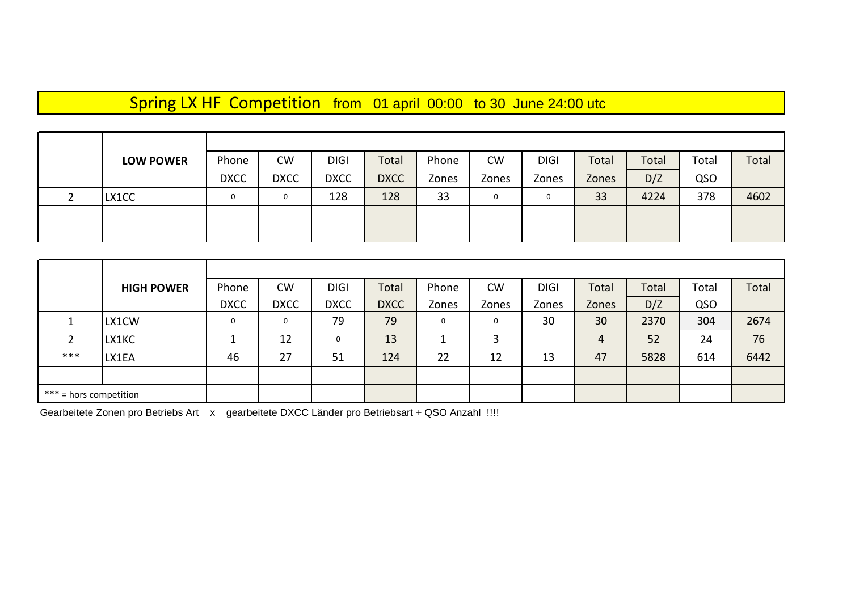## Spring LX HF Competition from 01 april 00:00 to 30 June 24:00 utc

|   | <b>LOW POWER</b> | Phone       | <b>CW</b>   | <b>DIGI</b> | Total       | Phone | <b>CW</b>    | <b>DIGI</b> | Total | Total | Total | Total |
|---|------------------|-------------|-------------|-------------|-------------|-------|--------------|-------------|-------|-------|-------|-------|
|   |                  | <b>DXCC</b> | <b>DXCC</b> | <b>DXCC</b> | <b>DXCC</b> | Zones | Zones        | Zones       | Zones | D/Z   | QSO   |       |
| ∼ | LX1CC            | 0           | 0           | 128         | 128         | 33    | $\mathbf{0}$ | 0           | 33    | 4224  | 378   | 4602  |
|   |                  |             |             |             |             |       |              |             |       |       |       |       |
|   |                  |             |             |             |             |       |              |             |       |       |       |       |

|       | <b>HIGH POWER</b>      | Phone       | <b>CW</b>    | <b>DIGI</b> | Total       | Phone | <b>CW</b>   | <b>DIGI</b> | Total | Total | Total | Total |
|-------|------------------------|-------------|--------------|-------------|-------------|-------|-------------|-------------|-------|-------|-------|-------|
|       |                        | <b>DXCC</b> | <b>DXCC</b>  | <b>DXCC</b> | <b>DXCC</b> | Zones | Zones       | Zones       | Zones | D/Z   | QSO   |       |
|       | LX1CW                  | $\mathbf 0$ | $\mathbf{0}$ | 79          | 79          | 0     | $\mathbf 0$ | 30          | 30    | 2370  | 304   | 2674  |
| 2     | LX1KC                  |             | 12           | 0           | 13          |       | 3           |             | 4     | 52    | 24    | 76    |
| $***$ | LX1EA                  | 46          | 27           | 51          | 124         | 22    | 12          | 13          | 47    | 5828  | 614   | 6442  |
|       |                        |             |              |             |             |       |             |             |       |       |       |       |
|       | *** = hors competition |             |              |             |             |       |             |             |       |       |       |       |

Gearbeitete Zonen pro Betriebs Art x gearbeitete DXCC Länder pro Betriebsart + QSO Anzahl !!!!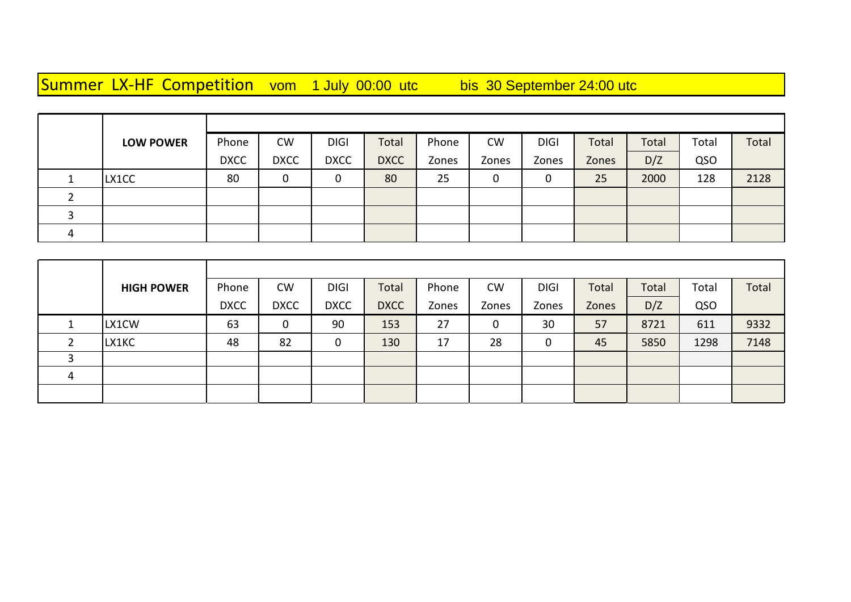Summer LX-HF Competition vom 1 July 00:00 utc bis 30 September 24:00 utc

|   | <b>LOW POWER</b> | Phone       | <b>CW</b>   | <b>DIGI</b> | Total       | Phone | <b>CW</b> | <b>DIGI</b> | Total | Total | Total | Total |
|---|------------------|-------------|-------------|-------------|-------------|-------|-----------|-------------|-------|-------|-------|-------|
|   |                  | <b>DXCC</b> | <b>DXCC</b> | <b>DXCC</b> | <b>DXCC</b> | Zones | Zones     | Zones       | Zones | D/Z   | QSO   |       |
|   | LX1CC            | 80          | 0           |             | 80          | 25    | υ         | 0           | 25    | 2000  | 128   | 2128  |
| ∠ |                  |             |             |             |             |       |           |             |       |       |       |       |
|   |                  |             |             |             |             |       |           |             |       |       |       |       |
| 4 |                  |             |             |             |             |       |           |             |       |       |       |       |

|              | <b>HIGH POWER</b> | Phone       | <b>CW</b>   | <b>DIGI</b> | Total       | Phone | <b>CW</b> | <b>DIGI</b> | Total | Total | Total | Total |
|--------------|-------------------|-------------|-------------|-------------|-------------|-------|-----------|-------------|-------|-------|-------|-------|
|              |                   | <b>DXCC</b> | <b>DXCC</b> | <b>DXCC</b> | <b>DXCC</b> | Zones | Zones     | Zones       | Zones | D/Z   | QSO   |       |
|              | LX1CW             | 63          | 0           | 90          | 153         | 27    | υ         | 30          | 57    | 8721  | 611   | 9332  |
| $\mathbf{r}$ | LX1KC             | 48          | 82          | 0           | 130         | 17    | 28        | ∩           | 45    | 5850  | 1298  | 7148  |
|              |                   |             |             |             |             |       |           |             |       |       |       |       |
| 4            |                   |             |             |             |             |       |           |             |       |       |       |       |
|              |                   |             |             |             |             |       |           |             |       |       |       |       |